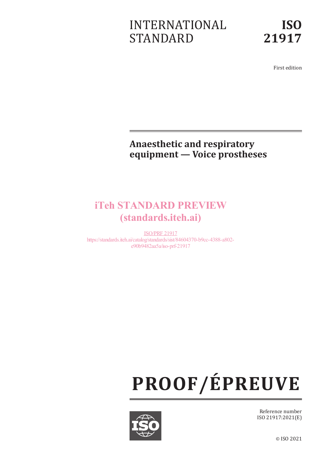# **INTERNATIONAL STANDARD**

First edition

## **Anaesthetic and respiratory** equipment - Voice prostheses

# **iTeh STANDARD PREVIEW** (standards.iteh.ai)

**ISO/PRF 21917** https://standards.iteh.ai/catalog/standards/sist/84604370-b9cc-4388-a802e90b9482aa5a/iso-prf-21917

# PROOF/ÉPREUVE



Reference number ISO 21917:2021(E)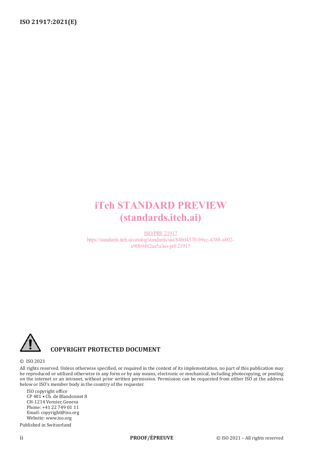# iTeh STANDARD PREVIEW (standards.iteh.ai)

ISO/PRF 21917 https://standards.iteh.ai/catalog/standards/sist/84604370-b9cc-4388-a802 e90b9482aa5a/iso-prf-21917



#### **COPYRIGHT PROTECTED DOCUMENT**

#### © ISO 2021

All rights reserved. Unless otherwise specified, or required in the context of its implementation, no part of this publication may be reproduced or utilized otherwise in any form or by any means, electronic or mechanical, including photocopying, or posting on the internet or an intranet, without prior written permission. Permission can be requested from either ISO at the address below or ISO's member body in the country of the requester.

ISO copyright office CP 401 • Ch. de Blandonnet 8 CH-1214 Vernier, Geneva Phone: +41 22 749 01 11 Email: copyright@iso.org Website: www.iso.org

Published in Switzerland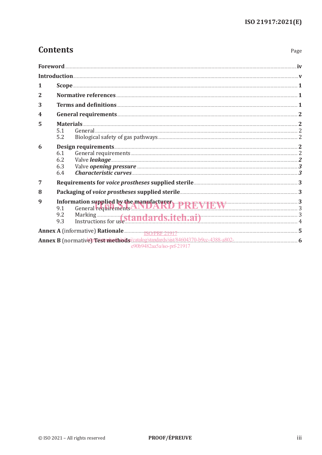Page

## **Contents**

| 1                                                                                                                                                                                                                              |                                                                                                                                                                                                                                      |                                                                                                                                                                                                                                                                                                                                                                                                                                                                        |  |
|--------------------------------------------------------------------------------------------------------------------------------------------------------------------------------------------------------------------------------|--------------------------------------------------------------------------------------------------------------------------------------------------------------------------------------------------------------------------------------|------------------------------------------------------------------------------------------------------------------------------------------------------------------------------------------------------------------------------------------------------------------------------------------------------------------------------------------------------------------------------------------------------------------------------------------------------------------------|--|
| 2                                                                                                                                                                                                                              |                                                                                                                                                                                                                                      |                                                                                                                                                                                                                                                                                                                                                                                                                                                                        |  |
| 3                                                                                                                                                                                                                              | Terms and definitions <b>contract to the contract of the contract of the contract of the contract of the contract of the contract of the contract of the contract of the contract of the contract of the contract of the contrac</b> |                                                                                                                                                                                                                                                                                                                                                                                                                                                                        |  |
| 4                                                                                                                                                                                                                              |                                                                                                                                                                                                                                      |                                                                                                                                                                                                                                                                                                                                                                                                                                                                        |  |
| 5                                                                                                                                                                                                                              | 5.1<br>5.2                                                                                                                                                                                                                           |                                                                                                                                                                                                                                                                                                                                                                                                                                                                        |  |
| 6                                                                                                                                                                                                                              | 6.1<br>6.2<br>6.3<br>6.4                                                                                                                                                                                                             | General requirements 2000 and 2000 and 2000 and 2000 and 2000 and 2000 and 2000 and 2000 and 2000 and 2000 and 2000 and 2000 and 2000 and 2000 and 2000 and 2000 and 2000 and 2000 and 2000 and 2000 and 2000 and 2000 and 200<br>Valve leakage <u>manus and the set of the set of the set of the set of the set of the set of the set of the set of the set of the set of the set of the set of the set of the set of the set of the set of the set of the set of</u> |  |
| 7                                                                                                                                                                                                                              |                                                                                                                                                                                                                                      |                                                                                                                                                                                                                                                                                                                                                                                                                                                                        |  |
| 8                                                                                                                                                                                                                              |                                                                                                                                                                                                                                      |                                                                                                                                                                                                                                                                                                                                                                                                                                                                        |  |
| 9                                                                                                                                                                                                                              | 9.2<br>9.3                                                                                                                                                                                                                           | Information supplied by the manufacturery PREVIEW 33<br>Marking Instructions for use standards.itch.ai) 34                                                                                                                                                                                                                                                                                                                                                             |  |
| Annex A (informative) Rationale Entertainment Research of the Second Line of the Second Line of the Second Line of the Second Line of the Second Line of the Second Line of the Second Line of the Second Line of the Second L |                                                                                                                                                                                                                                      |                                                                                                                                                                                                                                                                                                                                                                                                                                                                        |  |
| Annex B (normative) Test methods i/catalog/standards/sist/84604370-b9cc-4388-a802-<br>e90b9482aa5a/iso-prf-21917                                                                                                               |                                                                                                                                                                                                                                      |                                                                                                                                                                                                                                                                                                                                                                                                                                                                        |  |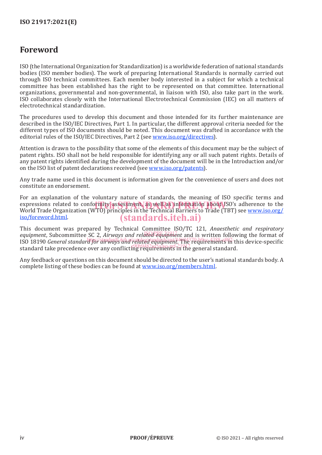## **Foreword**

ISO (the International Organization for Standardization) is a worldwide federation of national standards bodies (ISO member bodies). The work of preparing International Standards is normally carried out through ISO technical committees. Each member body interested in a subject for which a technical committee has been established has the right to be represented on that committee. International organizations, governmental and non-governmental, in liaison with ISO, also take part in the work. ISO collaborates closely with the International Electrotechnical Commission (IEC) on all matters of electrotechnical standardization.

The procedures used to develop this document and those intended for its further maintenance are described in the ISO/IEC Directives, Part 1. In particular, the different approval criteria needed for the different types of ISO documents should be noted. This document was drafted in accordance with the editorial rules of the ISO/IEC Directives, Part 2 (see www.iso.org/directives).

Attention is drawn to the possibility that some of the elements of this document may be the subject of patent rights. ISO shall not be held responsible for identifying any or all such patent rights. Details of any patent rights identified during the development of the document will be in the Introduction and/or on the ISO list of patent declarations received (see www.iso.org/patents).

Any trade name used in this document is information given for the convenience of users and does not constitute an endorsement.

For an explanation of the voluntary nature of standards, the meaning of ISO specific terms and expressions related to conformity assessment, as well as information about ISO's adherence to the<br>World Trade Organization (WTO) principles in the Technical Barriers to Trade (TBT) see www.iso.org/ World Trade Organization (WTO) principles in the Technical Barriers to Trade (TBT) see www.iso.org/ iso/foreword.html. (standards.iteh.ai)

This document was prepared by Technical Committee ISO/TC 121, *Anaesthetic and respiratory equipment*, Subcommittee SC 2, *Airways and related equipment* and is written following the format of equipment, experimented by airways and related equipment. The requirements in this device-specific standard take precedence over any conflicting requirements in the general standard.

Any feedback or questions on this document should be directed to the user's national standards body. A complete listing of these bodies can be found at www.iso.org/members.html.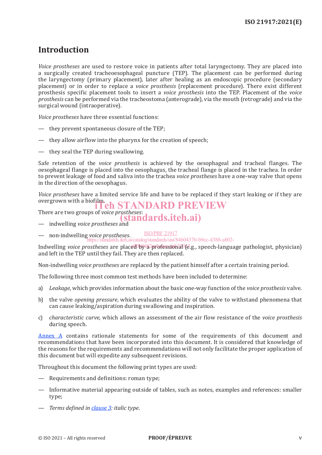## **Introduction**

*Voice prostheses* are used to restore voice in patients after total laryngectomy. They are placed into a surgically created tracheoesophageal puncture (TEP). The placement can be performed during the laryngectomy (primary placement), later after healing as an endoscopic procedure (secondary placement) or in order to replace a *voice prosthesis* (replacement procedure). There exist different prosthesis specific placement tools to insert a *voice prosthesis* into the TEP. Placement of the *voice prosthesis* can be performed via the tracheostoma (anterograde), via the mouth (retrograde) and via the surgical wound (intraoperative).

*Voice prostheses* have three essential functions:

- they prevent spontaneous closure of the TEP;
- they allow airflow into the pharynx for the creation of speech;
- they seal the TEP during swallowing.

Safe retention of the *voice prosthesis* is achieved by the oesophageal and tracheal flanges. The oesophageal flange is placed into the oesophagus, the tracheal flange is placed in the trachea. In order to prevent leakage of food and saliva into the trachea *voice prostheses* have a one-way valve that opens in the direction of the oesophagus.

*Voice prostheses* have a limited service life and have to be replaced if they start leaking or if they are overgrown with a biofilm.<br> **Example 12** Teh STANDARD PREVIEW

# There are two groups of *voice prostheses*:<br>
(**standards.iteh.ai**)

- indwelling *voice prostheses* and
- non-indwelling *voice prostheses.* ISO/PRF 21917

https://standards.iteh.ai/catalog/standards/sist/84604370-b9cc-4388-a802-

Indwelling *voice prostheses* are placed by a professional (e.g., speech-language pathologist, physician) and left in the TEP until they fail. They are then replaced.

Non-indwelling *voice prostheses* are replaced by the patient himself after a certain training period.

The following three most common test methods have been included to determine:

- a) *Leakage*, which provides information about the basic one-way function of the *voice prosthesis* valve.
- b) the valve *opening pressure*, which evaluates the ability of the valve to withstand phenomena that can cause leaking/aspiration during swallowing and inspiration.
- c) *characteristic curve*, which allows an assessment of the air flow resistance of the *voice prosthesis* during speech.

Annex A contains rationale statements for some of the requirements of this document and recommendations that have been incorporated into this document. It is considered that knowledge of the reasons for the requirements and recommendations will not only facilitate the proper application of this document but will expedite any subsequent revisions.

Throughout this document the following print types are used:

- Requirements and definitions: roman type;
- Informative material appearing outside of tables, such as notes, examples and references: smaller type;
- *Terms defined in clause 3: italic type*.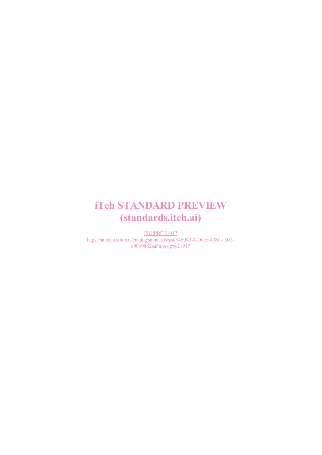# iTeh STANDARD PREVIEW (standards.iteh.ai)

ISO/PRF 21917 https://standards.iteh.ai/catalog/standards/sist/84604370-b9cc-4388-a802 e90b9482aa5a/iso-prf-21917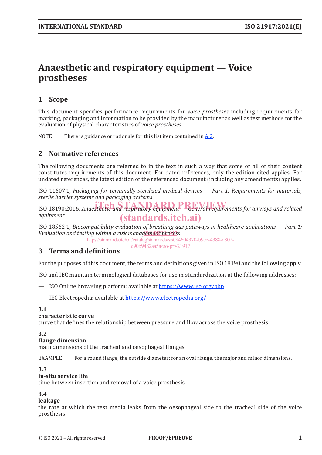## **Anaesthetic and respiratory equipment — Voice prostheses**

#### **1 Scope**

This document specifies performance requirements for *voice prostheses* including requirements for marking, packaging and information to be provided by the manufacturer as well as test methods for the evaluation of physical characteristics of *voice prostheses*.

NOTE There is guidance or rationale for this list item contained in  $A.2$ .

#### **2 Normative references**

The following documents are referred to in the text in such a way that some or all of their content constitutes requirements of this document. For dated references, only the edition cited applies. For undated references, the latest edition of the referenced document (including any amendments) applies.

ISO 11607-1, *Packaging for terminally sterilized medical devices — Part 1: Requirements for materials, sterile barrier systems and packaging systems*

ISO 18190:2016, *Anaesthetic and respiratory equipment* — General requirements for airways and related *equipment* (standards.iteh.ai)

ISO 18562-1, *Biocompatibility evaluation of breathing gas pathways in healthcare applications — Part 1:*  Evaluation and testing within a risk management process

https://standards.iteh.ai/catalog/standards/sist/84604370-b9cc-4388-a802-

e90b9482aa5a/iso-prf-21917

#### **3 Terms and definitions**

For the purposes of this document, the terms and definitions given in ISO 18190 and the following apply.

ISO and IEC maintain terminological databases for use in standardization at the following addresses:

— ISO Online browsing platform: available at https://www.iso.org/obp

— IEC Electropedia: available at https://www.electropedia.org/

#### **3.1**

#### **characteristic curve**

curve that defines the relationship between pressure and flow across the voice prosthesis

#### **3.2**

#### **flange dimension**

main dimensions of the tracheal and oesophageal flanges

EXAMPLE For a round flange, the outside diameter; for an oval flange, the major and minor dimensions.

#### **3.3**

#### **in-situ service life**

time between insertion and removal of a voice prosthesis

#### **3.4**

#### **leakage**

the rate at which the test media leaks from the oesophageal side to the tracheal side of the voice prosthesis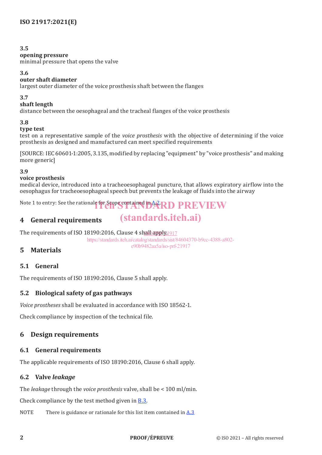#### **3.5**

#### **opening pressure**

minimal pressure that opens the valve

#### **3.6**

#### **outer shaft diameter**

largest outer diameter of the voice prosthesis shaft between the flanges

#### **3.7**

#### **shaft length**

distance between the oesophageal and the tracheal flanges of the voice prosthesis

#### **3.8**

#### **type test**

test on a representative sample of the *voice prosthesis* with the objective of determining if the voice prosthesis as designed and manufactured can meet specified requirements

[SOURCE: IEC 60601-1:2005, 3.135, modified by replacing "equipment" by "voice prosthesis" and making more generic]

#### **3.9**

#### **voice prosthesis**

medical device, introduced into a tracheoesophageal puncture, that allows expiratory airflow into the oesophagus for tracheoesophageal speech but prevents the leakage of fluids into the airway

Note 1 to entry: See the rationale for Scope contained in A2RD PREVIEW

#### **4 General requirements**

# (standards.iteh.ai)

The requirements of ISO 18190:2016, Clause 4 shall apply.<sub>1917</sub>

https://standards.iteh.ai/catalog/standards/sist/84604370-b9cc-4388-a802 e90b9482aa5a/iso-prf-21917

#### **5 Materials**

#### **5.1 General**

The requirements of ISO 18190:2016, Clause 5 shall apply.

#### **5.2 Biological safety of gas pathways**

*Voice prostheses* shall be evaluated in accordance with ISO 18562-1.

Check compliance by inspection of the technical file.

#### **6 Design requirements**

#### **6.1 General requirements**

The applicable requirements of ISO 18190:2016, Clause 6 shall apply.

#### **6.2 Valve** *leakage*

The *leakage* through the *voice prosthesis* valve, shall be < 100 ml/min.

Check compliance by the test method given in  $B.3$ .

NOTE There is guidance or rationale for this list item contained in A.3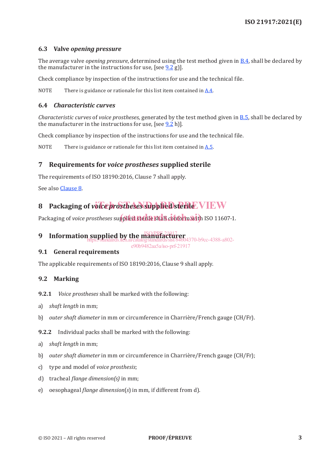#### **6.3 Valve** *opening pressure*

The average valve *opening pressure*, determined using the test method given in B.4, shall be declared by the manufacturer in the instructions for use, [see  $9.2$  g)].

Check compliance by inspection of the instructions for use and the technical file.

NOTE There is guidance or rationale for this list item contained in  $A.4$ .

#### **6.4** *Characteristic curves*

*Characteristic curves* of *voice prostheses*, generated by the test method given in B.5, shall be declared by the manufacturer in the instructions for use, [see 9.2 h)].

Check compliance by inspection of the instructions for use and the technical file.

NOTE There is guidance or rationale for this list item contained in  $A.5$ .

#### **7 Requirements for** *voice prostheses* **supplied sterile**

The requirements of ISO 18190:2016, Clause 7 shall apply.

See also Clause 8.

## 8 Packaging of *voice prostheses* supplied sterile VIEW

Packaging of *voice prostheses* su**pplied sterile shall conform wit**h ISO 11607-1.

#### **9** Information supplied by the manufacturer https://standards.iteh.ai/catalog/standards/sist/84604370-b9cc-4388-a802-

e90b9482aa5a/iso-prf-21917

#### **9.1 General requirements**

The applicable requirements of ISO 18190:2016, Clause 9 shall apply.

#### **9.2 Marking**

**9.2.1** *Voice prostheses* shall be marked with the following:

- a) *shaft length* in mm;
- b) *outer shaft diameter* in mm or circumference in Charrière/French gauge (CH/Fr).

**9.2.2** Individual packs shall be marked with the following:

a) *shaft length* in mm;

- b) *outer shaft diameter* in mm or circumference in Charrière/French gauge (CH/Fr);
- c) type and model of *voice prosthesis*;
- d) tracheal *flange dimension(s)* in mm;
- e) oesophageal *flange dimension*(*s*) in mm, if different from d).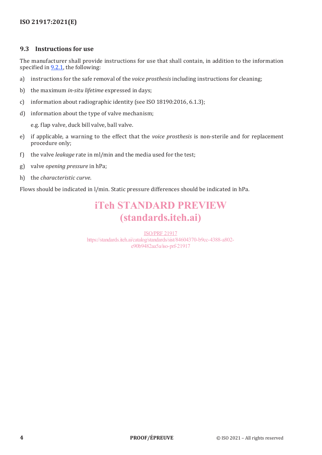#### **9.3 Instructions for use**

The manufacturer shall provide instructions for use that shall contain, in addition to the information specified in  $9.2.1$ , the following:

- a) instructions for the safe removal of the *voice prosthesis* including instructions for cleaning;
- b) the maximum *in-situ lifetime* expressed in days;
- c) information about radiographic identity (see ISO 18190:2016, 6.1.3);
- d) information about the type of valve mechanism;

e.g. flap valve, duck bill valve, ball valve.

- e) if applicable, a warning to the effect that the *voice prosthesis* is non-sterile and for replacement procedure only;
- f) the valve *leakage* rate in ml/min and the media used for the test;
- g) valve *opening pressure* in hPa;
- h) the *characteristic curve*.

Flows should be indicated in l/min. Static pressure differences should be indicated in hPa.

## iTeh STANDARD PREVIEW (standards.iteh.ai)

ISO/PRF 21917 https://standards.iteh.ai/catalog/standards/sist/84604370-b9cc-4388-a802 e90b9482aa5a/iso-prf-21917